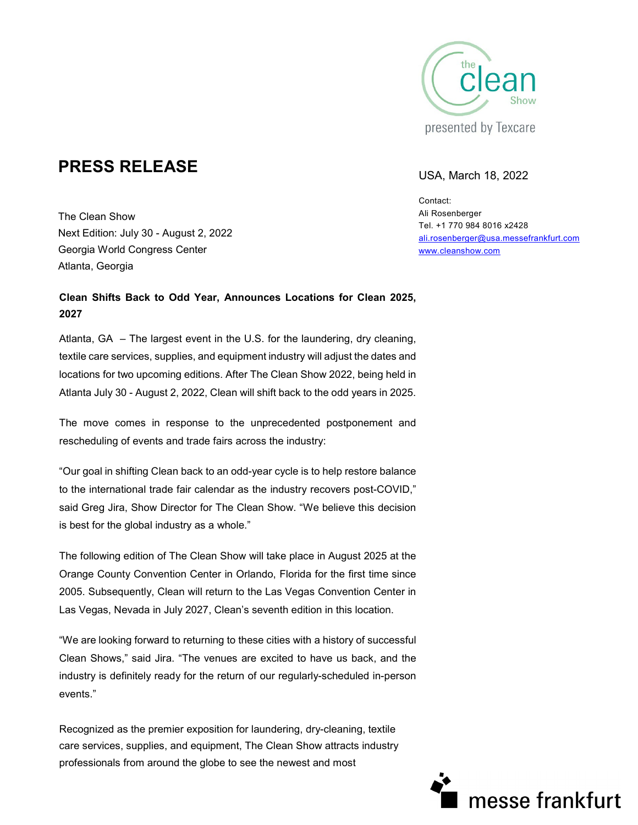

# **PRESS RELEASE** USA, March 18, 2022

The Clean Show Next Edition: July 30 - August 2, 2022 Georgia World Congress Center Atlanta, Georgia

## **Clean Shifts Back to Odd Year, Announces Locations for Clean 2025, 2027**

Atlanta, GA – The largest event in the U.S. for the laundering, dry cleaning, textile care services, supplies, and equipment industry will adjust the dates and locations for two upcoming editions. After The Clean Show 2022, being held in Atlanta July 30 - August 2, 2022, Clean will shift back to the odd years in 2025.

The move comes in response to the unprecedented postponement and rescheduling of events and trade fairs across the industry:

"Our goal in shifting Clean back to an odd-year cycle is to help restore balance to the international trade fair calendar as the industry recovers post-COVID," said Greg Jira, Show Director for The Clean Show. "We believe this decision is best for the global industry as a whole."

The following edition of The Clean Show will take place in August 2025 at the Orange County Convention Center in Orlando, Florida for the first time since 2005. Subsequently, Clean will return to the Las Vegas Convention Center in Las Vegas, Nevada in July 2027, Clean's seventh edition in this location.

"We are looking forward to returning to these cities with a history of successful Clean Shows," said Jira. "The venues are excited to have us back, and the industry is definitely ready for the return of our regularly-scheduled in-person events."

Recognized as the premier exposition for laundering, dry-cleaning, textile care services, supplies, and equipment, The Clean Show attracts industry professionals from around the globe to see the newest and most

Contact: Ali Rosenberger Tel. +1 770 984 8016 x2428 [ali.rosenberger@usa.messefrankfurt.com](mailto:ali.rosenberger@usa.messefrankfurt.com) [www.cleanshow.com](http://www.cleanshow.com/) 

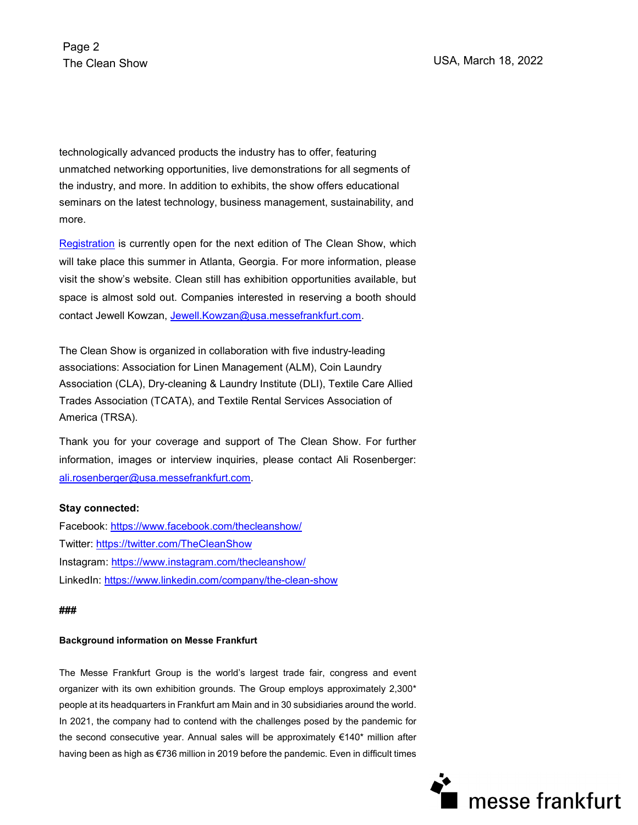technologically advanced products the industry has to offer, featuring unmatched networking opportunities, live demonstrations for all segments of the industry, and more. In addition to exhibits, the show offers educational seminars on the latest technology, business management, sustainability, and more.

[Registration](https://www.compusystems.com/servlet/ar?evt_uid=199&TrackCode=PR2) is currently open for the next edition of The Clean Show, which will take place this summer in Atlanta, Georgia. For more information, please visit the show's website. Clean still has exhibition opportunities available, but space is almost sold out. Companies interested in reserving a booth should contact Jewell Kowzan, Jewell.Kowzan@usa.messefrankfurt.com.

The Clean Show is organized in collaboration with five industry-leading associations: Association for Linen Management (ALM), Coin Laundry Association (CLA), Dry-cleaning & Laundry Institute (DLI), Textile Care Allied Trades Association (TCATA), and Textile Rental Services Association of America (TRSA).

Thank you for your coverage and support of The Clean Show. For further information, images or interview inquiries, please contact Ali Rosenberger: [ali.rosenberger@usa.messefrankfurt.com.](mailto:ali.rosenberger@usa.messefrankfurt.com)

### **Stay connected:**

Facebook:<https://www.facebook.com/thecleanshow/> Twitter:<https://twitter.com/TheCleanShow> Instagram:<https://www.instagram.com/thecleanshow/> LinkedIn:<https://www.linkedin.com/company/the-clean-show>

### **###**

### **Background information on Messe Frankfurt**

The Messe Frankfurt Group is the world's largest trade fair, congress and event organizer with its own exhibition grounds. The Group employs approximately 2,300\* people at its headquarters in Frankfurt am Main and in 30 subsidiaries around the world. In 2021, the company had to contend with the challenges posed by the pandemic for the second consecutive year. Annual sales will be approximately €140\* million after having been as high as €736 million in 2019 before the pandemic. Even in difficult times